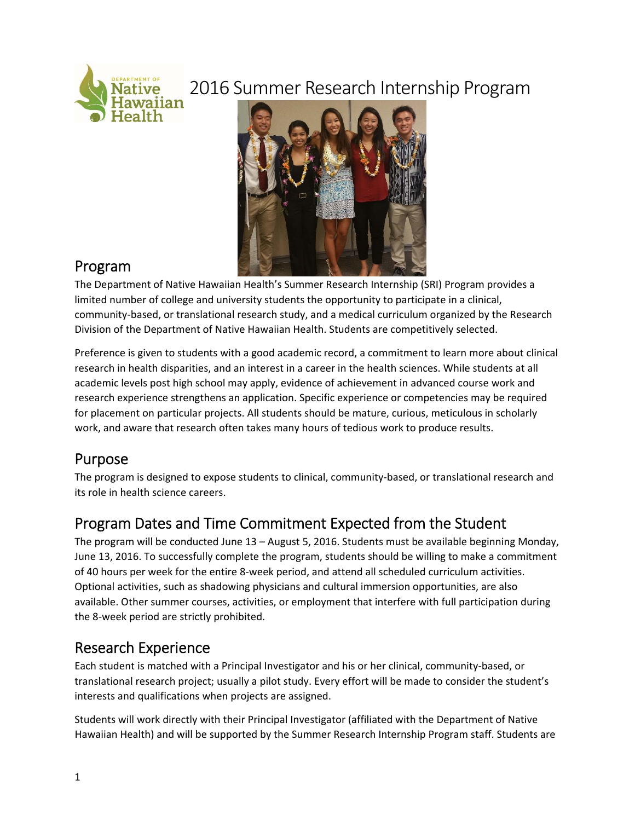# 2016 Summer Research Internship Program



### Program

The Department of Native Hawaiian Health's Summer Research Internship (SRI) Program provides a limited number of college and university students the opportunity to participate in a clinical, community‐based, or translational research study, and a medical curriculum organized by the Research Division of the Department of Native Hawaiian Health. Students are competitively selected.

Preference is given to students with a good academic record, a commitment to learn more about clinical research in health disparities, and an interest in a career in the health sciences. While students at all academic levels post high school may apply, evidence of achievement in advanced course work and research experience strengthens an application. Specific experience or competencies may be required for placement on particular projects. All students should be mature, curious, meticulous in scholarly work, and aware that research often takes many hours of tedious work to produce results.

## Purpose

The program is designed to expose students to clinical, community‐based, or translational research and its role in health science careers.

## Program Dates and Time Commitment Expected from the Student

The program will be conducted June 13 – August 5, 2016. Students must be available beginning Monday, June 13, 2016. To successfully complete the program, students should be willing to make a commitment of 40 hours per week for the entire 8‐week period, and attend all scheduled curriculum activities. Optional activities, such as shadowing physicians and cultural immersion opportunities, are also available. Other summer courses, activities, or employment that interfere with full participation during the 8‐week period are strictly prohibited.

## Research Experience

Each student is matched with a Principal Investigator and his or her clinical, community‐based, or translational research project; usually a pilot study. Every effort will be made to consider the student's interests and qualifications when projects are assigned.

Students will work directly with their Principal Investigator (affiliated with the Department of Native Hawaiian Health) and will be supported by the Summer Research Internship Program staff. Students are